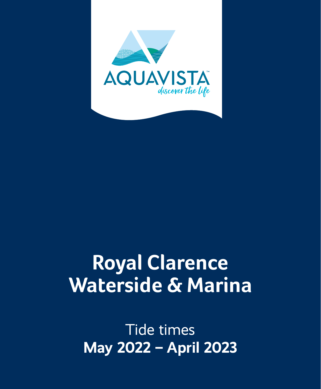

## **Royal Clarence Waterside & Marina**

Tide times **May 2022 – April 2023**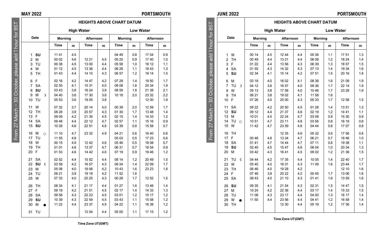**Date**

From 27 March – 30 October, please add 1 hour for BST

ctot Č <sub>20</sub>

27 March

From 2

er, pl

 $55$ 

 $\overline{5}$ Port 군 **Se** 

## **MAY 2022 PORTSMOUTH**

**HEIGHTS ABOVE CHART DATUM High Water Low Water Morning Afternoon Morning Afternoon Time m Time m Time m Time m**

1 **SU** | 11 41 | 4.5 | | | | 04 49 | 0.8 | 17 04 | 0.9 2 M 00 02 4.6 12 21 4.5 05 25 0.9 17 40 1.0 3 TU 00 38 4.5 13 00 4.4 05 58 1.0 18 12 1.1 4 W | 01 12 | 4.5 | 13 36 | 4.4 | 06 28 | 1.1 | 18 43 | 1.3 5 TH 01 43 4.4 14 10 4.3 06 57 1.2 19 14 1.5 6 F 02 16 4.2 14 47 4.2 07 29 1.4 19 50 1.7 7 SA 02 55 4.1 15 31 4.0 08 08 1.6 20 34 1.9 8 **SU** 03 43 3.8 16 24 3.9 08 59 1.8 21 38 2.1 9 M ☽ 04 40 3.6 17 30 3.8 10 18 2.0 23 32 2.2 10 TU | 05 53 | 3.6 | 19 05 | 3.8 | | | | | | | 12 00 | 1.9 11 W 07 32 3.7 20 14 4.0 00 39 2.0 12 59 1.7 12 TH 08 28 3.9 20 57 4.3 01 30 1.7 13 48 1.4 13 F | 09 09 | 4.2 | 21 35 | 4.5 | 02 15 | 1.4 | 14 33 | 1.2 14 SA  $\begin{array}{|c|c|c|c|c|c|c|c|} \hline \end{array}$  09 48  $\begin{array}{|c|c|c|c|c|c|} \hline \end{array}$  4.7 02 57 1.1 15 16 0.9 15 **SU** 10 28 4.6 22 51 4.8 03 39 0.8 15 58 0.7 16 M ⊙ | 11 10 | 4.7 | 23 32 | 4.9 | 04 21 | 0.6 | 16 40 | 0.6 17 TU | 11 55 | 4.8 | | | 05 03 | 0.5 | 17 23 | 0.6 18 W 00 15 | 4.9 | 1242 | 4.8 | 0546 | 0.5 | 18 08 | 0.7 19 TH | 01 01 | 4.8 | 13 37 | 4.7 | 06 31 | 0.7 | 18 54 | 0.9 20 F | 01 53 | 4.6 | 14 42 | 4.6 | 07 19 | 0.9 | 19 46 | 1.2 21 SA | 02 52 | 4.4 | 15 52 | 4.4 | 08 14 | 1.2 | 20 49 | 1.5 22 SU **€** 03 58 4.2 16 57 4.3 09 24 1.4 22 09 1.7<br>23 M 05 08 4.0 18 06 4.2 10 43 1.6 23 23 1.8 23 M | 05 08 | 4.0 | 18 06 | 4.2 | 10 43 | 1.6 | 23 23 | 1.8

## **JUNE 2022 PORTSMOUTH**

|                             |             | <b>HEIGHTS ABOVE CHART DATUM</b> |             |              |             |     |                  |     |  |
|-----------------------------|-------------|----------------------------------|-------------|--------------|-------------|-----|------------------|-----|--|
|                             |             | <b>High Water</b>                |             |              |             |     | <b>Low Water</b> |     |  |
| Date                        | Mornina     |                                  | Afternoon   |              | Mornina     |     | Afternoon        |     |  |
|                             | <b>Time</b> | m                                | <b>Time</b> | $\mathbf{m}$ | <b>Time</b> | m   | <b>Time</b>      | m   |  |
| W<br>1                      | 00 14       | 4.5                              | 12 44       | 4.4          | 05 36       | 1.1 | 1751             | 1.3 |  |
| <b>TH</b><br>$\overline{2}$ | 00 49       | 4.4                              | 13 21       | 4.4          | 06 08       | 1.2 | 18 24            | 1.4 |  |
| F<br>3                      | 01 22       | 4.4                              | 13 56       | 4.3          | 06 39       | 1.3 | 1857             | 1.5 |  |
| 4<br><b>SA</b>              | 01 55       | 4.3                              | 14 32       | 4.3          | 07 13       | 1.4 | 19 34            | 1.6 |  |
| SU<br>5                     | 02 34       | 4.1                              | 15 14       | 4.2          | 07 51       | 1.5 | 20 16            | 1.8 |  |
| M<br>6                      | 03 19       | 4.0                              | 16 02       | 4.1          | 08 38       | 1.6 | 21 09            | 1.9 |  |
| $\overline{7}$<br>TU<br>r   | 04 12       | 3.8                              | 16 57       | 4.0          | 09 36       | 1.7 | 22 14            | 1.9 |  |
| w<br>8                      | 05 13       | 3.8                              | 17 58       | 4.0          | 10 46       | 1.7 | 23 28            | 1.9 |  |
| TH<br>9                     | 06 21       | 3.8                              | 19 02       | 4.1          | 11 58       | 1.6 |                  |     |  |
| F<br>10                     | 07 26       | 4.0                              | 20 00       | 4.3          | 00 33       | 1.7 | 12 58            | 1.5 |  |
| <b>SA</b><br>11             | 08 22       | 4.2                              | 20 50       | 4.5          | 01 28       | 1.4 | 1351             | 1.3 |  |
| SU<br>12                    | 09 12       | 4.4                              | 21 37       | 4.6          | 02 19       | 1.2 | 1441             | 1.1 |  |
| M<br>13                     | 10 01       | 4.5                              | 22 24       | 4.7          | 03 08       | 0.9 | 15 30            | 0.9 |  |
| TU <sub>0</sub><br>14       | 10 51       | 4.7                              | 23 11       | 4.8          | 03 56       | 0.8 | 16 18            | 0.8 |  |
| W<br>15                     | 11 42       | 4.7                              | 23 59       | 4.8          | 04 44       | 0.6 | 1707             | 0.8 |  |
| <b>TH</b><br>16             |             |                                  | 12 35       | 4.8          | 05 32       | 0.6 | 1756             | 0.8 |  |
| 17<br>F                     | 00.48       | 4.8                              | 13 34       | 4.7          | 06 21       | 0.7 | 1846             | 1.0 |  |
| 18<br><b>SA</b>             | 01 41       | 4.7                              | 14 44       | 4.7          | 07 11       | 0.8 | 19 38            | 1.1 |  |
| SU<br>19                    | 02 40       | 4.5                              | 15 47       | 4.6          | 08 04       | 1.0 | 20 34            | 1.3 |  |
| 20<br>M                     | 03 42       | 4.3                              | 1641        | 4.5          | 09 02       | 1.2 | 21 36            | 1.5 |  |
| 21<br>TU<br>¢               | 04 44       | 4.2                              | 17 35       | 4.4          | 10 05       | 1.4 | 22 40            | 1.7 |  |
| 22<br>W                     | 0545        | 4.0                              | 18 31       | 4.3          | 11 09       | 1.6 | 23 44            | 1.7 |  |
| <b>TH</b><br>23             | 06 46       | 4.0                              | 19 28       | 4.2          |             |     | 12 10            | 1.6 |  |
| F<br>24                     | 07 46       | 3.9                              | 20 22       | 4.2          | 00 45       | 1.7 | 13 06            | 1.6 |  |
| <b>SA</b><br>25             | 08 43       | 4.0                              | 21 10       | 4.3          | 01 41       | 1.6 | 1359             | 1.6 |  |
| SU<br>26                    | 09 35       | 4.1                              | 21 54       | 4.3          | 02 31       | 1.5 | 14 47            | 1.5 |  |
| 27<br>M                     | 10 24       | 4.2                              | 22 36       | 4.4          | 03 17       | 1.4 | 15 33            | 1.5 |  |
| 28<br>TU                    | 11 08       | 4.3                              | 23 17       | 4.4          | 04 00       | 1.3 | 16 17            | 1.4 |  |
| W<br>29                     | 11 50       | 4.4                              | 23 56       | 4.4          | 04 41       | 1.2 | 16 58            | 1.4 |  |
| <b>TH</b><br>30             |             |                                  | 12 30       | 4.4          | 05 19       | 1.2 | 17 36            | 1.4 |  |
|                             |             |                                  |             |              |             |     |                  |     |  |

add 1 hour for BST asealn

From 27 March – 30 October, please add 1 hour for BST-30 October From 27 March

**Time Zone UT(GMT)**

25 W 07 33 4.0 20 25 4.3 00 28 1.7 12 52 1.5 26 TH 08 34 4.1 21 17 4.4 01 27 1.6 13 46 1.4 27 F | 09 19 | 4.2 | 21 51 | 4.5 | 02 17 | 1.4 | 14 33 | 1.3 28 SA | 09 58 | 4.3 | 22 23 | 4.5 | 03 01 | 1.2 | 15 17 | 1.2 29 **SU** | 10 39 | 4.3 | 22 59 | 4.5 | 03 43 | 1.1 | 15 58 | 1.2 30 M ● | 11 22 | 4.4 | 23 37 | 4.5 | 04 22 | 1.1 | 16 38 | 1.2 31 TU | | | 12 04 | 4.4 | 05 00 | 1.1 | 17 15 | 1.2

24 TU 06 21 3.9 19 18 4.2 11 52 1.6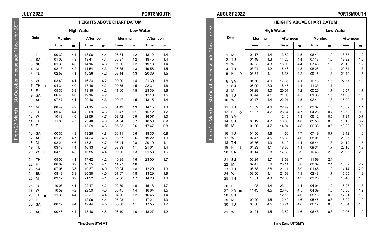From 27 March – 30 October, please add 1 hour for BST

'March

From

 $\overline{6}$ 1 hour  $\overline{g}$ se a ëΦ ber, pl ē  $\sqrt{2}$ <sub>20</sub>

**AUGUST 2022 PORTSMOUTH**

| <b>PORTSMOUTH</b> |  |  |
|-------------------|--|--|
|-------------------|--|--|

|                            |                      | <b>HEIGHTS ABOVE CHART DATUM</b> |     |                   |     |         |     |                  |     |
|----------------------------|----------------------|----------------------------------|-----|-------------------|-----|---------|-----|------------------|-----|
| for $BS$                   |                      |                                  |     | <b>High Water</b> |     |         |     | <b>Low Water</b> |     |
|                            | Date                 | Morning                          |     | Afternoon         |     | Morning |     | Afternoon        |     |
|                            |                      | Time                             | m   | Time              | m   | Time    | m   | Time             | m   |
| October, please add 1 hour | M<br>1               | 01 17                            | 4.4 | 13 52             | 4.5 | 06 41   | 1.0 | 1858             | 1.2 |
|                            | $\overline{2}$<br>TU | 01 49                            | 4.3 | 14 26             | 4.4 | 07 13   | 1.0 | 19 32            | 1.2 |
|                            | 3<br>W               | 02 23                            | 4.3 | 15 03             | 4.4 | 07 48   | 1.0 | 20 10            | 1.2 |
|                            | 4<br><b>TH</b>       | 03 04                            | 4.2 | 1546              | 4.3 | 08 28   | 1.1 | 20 54            | 1.3 |
|                            | F<br>5<br>D          | 03 54                            | 4.1 | 16 36             | 4.2 | 09 15   | 1.3 | 21 49            | 1.5 |
|                            | <b>SA</b><br>6       | 04 56                            | 4.0 | 17 36             | 4.1 | 10 15   | 1.5 | 22 57            | 1.6 |
|                            | $\overline{7}$<br>SU | 06 09                            | 3.9 | 18 46             | 4.1 | 11 33   | 1.7 |                  |     |
|                            | 8<br>M               | 07 29                            | 4.0 | 20 01             | 4.2 | 00 20   | 1.7 | 1257             | 1.7 |
|                            | TU<br>9              | 08 44                            | 4.1 | 21 08             | 4.3 | 01 36   | 1.5 | 14 08            | 1.6 |
| 80                         | W<br>10              | 09 47                            | 4.4 | 22 01             | 4.5 | 02 41   | 1.3 | 15 09            | 1.3 |
|                            | 11<br>TH             | 10 39                            | 4.6 | 22 49             | 4.7 | 03 37   | 1.0 | 16 02            | 1.1 |
| March                      | 12<br>F<br>$\circ$   | 11 27                            | 4.7 | 23 34             | 4.7 | 04 26   | 0.7 | 16 50            | 0.8 |
|                            | <b>SA</b><br>13      |                                  |     | 12 16             | 4.8 | 05 12   | 0.5 | 17 34            | 0.7 |
|                            | SU<br>14             | 00 19                            | 4.7 | 13 06             | 4.8 | 05 56   | 0.5 | 18 18            | 0.7 |
| 27                         | 15<br>M              | 01 06                            | 4.7 | 14 04             | 4.8 | 06 38   | 0.5 | 1900             | 0.8 |
| From                       | 16<br>TU             | 01 56                            | 4.6 | 14 56             | 4.7 | 07 19   | 0.7 | 1942             | 1.0 |
|                            | W<br>17              | 02 47                            | 4.5 | 15 33             | 4.6 | 08 01   | 1.0 | 20 25            | 1.3 |
|                            | 18<br><b>TH</b>      | 03 36                            | 4.3 | 16 10             | 4.4 | 08 44   | 1.3 | 21 12            | 1.5 |
|                            | F<br>19<br>C         | 04 23                            | 4.1 | 16 50             | 4.1 | 09 34   | 1.7 | 22 10            | 1.8 |
|                            | <b>SA</b><br>20      | 05 14                            | 3.8 | 17 39             | 3.9 | 10 43   | 2.0 | 23 26            | 2.0 |
|                            | 21<br>SU             | 06 24                            | 3.7 | 18 53             | 3.7 | 11 59   | 2.1 |                  |     |
|                            | M<br>22              | 07 47                            | 3.6 | 20 11             | 3.8 | 00 39   | 2.1 | 1309             | 2.2 |
|                            | TU<br>23             | 08 58                            | 3.8 | 21 11             | 3.9 | 01 48   | 1.9 | 14 14            | 2.0 |
|                            | 24<br>W              | 09 50                            | 4.1 | 21 58             | 4.1 | 02 43   | 1.7 | 15 05            | 1.8 |
|                            | 25<br>TH             | 10 31                            | 4.3 | 22 38             | 4.3 | 03 26   | 1.5 | 1546             | 1.6 |
|                            | F<br>26              | 11 08                            | 4.4 | 23 14             | 4.4 | 04 04   | 1.2 | 16 23            | 1.3 |
|                            | SA<br>27             | 11 43                            | 4.5 | 23 48             | 4.5 | 04 39   | 1.0 | 16 58            | 1.2 |
|                            | SU<br>28             |                                  |     | 12 16             | 4.6 | 05 13   | 0.9 | 1731             | 1.0 |
|                            | 29<br>M              | 00 20                            | 4.5 | 12 49             | 4.6 | 05 46   | 0.8 | 18 02            | 1.0 |
|                            | 30<br>TU             | 00 50                            | 4.5 | 13 21             | 4.6 | 06 17   | 0.8 | 18 34            | 1.0 |
|                            | 31<br>W              | 01 21                            | 4.5 | 13 52             | 4.6 | 06 48   | 0.8 | 1906             | 1.0 |
|                            |                      |                                  |     |                   |     |         |     |                  |     |

**HEIGHTS ABOVE CHART DATUM JULY 2022 PORTSMOUTH**

|                |           |         |         | <b>High Water</b> |           |     |         |     | <b>Low Water</b> |     |
|----------------|-----------|---------|---------|-------------------|-----------|-----|---------|-----|------------------|-----|
|                | Date      |         | Morning |                   | Afternoon |     | Morning |     | Afternoon        |     |
|                |           |         | Time    | m                 | Time      | m   | Time    | m   | Time             | m   |
| 1              | F         |         | 00 32   | 4.4               | 13 06     | 4.4 | 05 54   | 1.2 | 18 12            | 1.4 |
| $\overline{2}$ | <b>SA</b> |         | 01 06   | 4.3               | 1341      | 4.4 | 06 27   | 1.2 | 1845             | 1.4 |
| 3              | SU        |         | 01 39   | 4.3               | 14 16     | 4.3 | 07 00   | 1.2 | 19 18            | 1.4 |
| 4              | м         |         | 02 13   | 4.2               | 14 54     | 4.3 | 07 35   | 1.3 | 1956             | 1.5 |
| 5              | TU        |         | 02 53   | 4.1               | 15 36     | 4.2 | 08 14   | 1.3 | 20 39            | 1.5 |
| 6              | w         |         | 03 40   | 4.1               | 16 23     | 4.2 | 09 00   | 1.4 | 21 30            | 1.6 |
| $\overline{7}$ | <b>TH</b> | D       | 04 34   | 4.0               | 17 16     | 4.2 | 09 55   | 1.5 | 22 31            | 1.6 |
| 8              | F         |         | 05 36   | 3.9               | 18 15     | 4.2 | 11 00   | 1.5 | 23 39            | 1.6 |
| 9              | <b>SA</b> |         | 06 41   | 4.0               | 19 16     | 4.2 |         |     | 12 10            | 1.5 |
| 10             | SU        |         | 0747    | 4.1               | 20 18     | 4.3 | 00 47   | 1.5 | 13 15            | 1.4 |
| 11             | M         |         | 08 49   | 4.2               | 21 15     | 4.5 | 0149    | 1.3 | 14 15            | 1.3 |
| 12             | TU        |         | 09 48   | 4.4               | 22 09     | 4.6 | 02 47   | 1.1 | 15 12            | 1.2 |
| 13             | W         | $\circ$ | 1043    | 4.6               | 22 59     | 4.7 | 03 42   | 0.9 | 16 07            | 1.0 |
| 14             | TH        |         | 11 36   | 4.7               | 23 48     | 4.8 | 04 34   | 0.7 | 16 58            | 0.9 |
| 15             | F         |         |         |                   | 12 29     | 4.8 | 05 23   | 0.6 | 1747             | 0.8 |
| 16             | <b>SA</b> |         | 00 35   | 4.8               | 13 25     | 4.8 | 06 11   | 0.6 | 18 35            | 0.8 |
| 17             | SU        |         | 01 26   | 4.7               | 14 34     | 4.8 | 06 57   | 0.6 | 19 22            | 1.0 |
| 18             | M         |         | 02 21   | 4.6               | 15 31     | 4.7 | 0744    | 0.8 | 20 10            | 1.1 |
| 19             | TU        |         | 03 19   | 4.4               | 16 13     | 4.6 | 08 33   | 1.1 | 21 01            | 1.4 |
| 20             | w         | C       | 04 13   | 4.3               | 16 55     | 4.4 | 09 26   | 1.3 | 21 58            | 1.6 |
| 21             | TH        |         | 05 06   | 4.1               | 1742      | 4.2 | 10 25   | 1.6 | 23 00            | 1.7 |
| 22             | F         |         | 06 02   | 3.9               | 18 35     | 4.1 | 11 27   | 1.8 |                  |     |
| 23             | <b>SA</b> |         | 07 05   | 3.8               | 19 37     | 4.0 | 00 04   | 1.8 | 12 29            | 1.9 |
| 24             | SU        |         | 08 13   | 3.8               | 20 38     | 4.0 | 01 07   | 1.8 | 13 29            | 1.9 |
| 25             | M         |         | 09 17   | 3.9               | 21 32     | 4.1 | 02 06   | 1.7 | 14 26            | 1.8 |
| 26             | TU        |         | 10 08   | 4.1               | 22 17     | 4.2 | 02 59   | 1.6 | 15 18            | 1.7 |
| 27             | W         |         | 10 52   | 4.2               | 22 59     | 4.3 | 03 45   | 1.4 | 16 04            | 1.5 |
| 28             | <b>TH</b> |         | 11 31   | 4.4               | 23 37     | 4.4 | 04 26   | 1.2 | 16 45            | 1.4 |
| 29             | F         |         |         |                   | 1209      | 4.4 | 05 03   | 1.1 | 17 21            | 1.3 |
| 30             | <b>SA</b> |         | 00 12   | 4.4               | 1244      | 4.5 | 05 38   | 1.1 | 17 55            | 1.2 |
| 31             | SU        |         | 00 46   | 4.4               | 13 18     | 4.5 | 06 10   | 1.0 | 18 27            | 1.2 |
|                |           |         |         |                   |           |     |         |     |                  |     |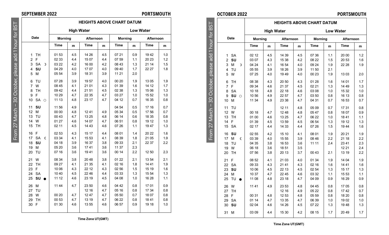## **SEPTEMBER 2022 PORTSMOUTH**

# From 27 March – 30 October, please add 1 hour for BST ease add 1 hour for October, pl

**BST** 

<sub>20</sub>

From 27 March

|                              |               |         | <b>High Water</b> |           |     |         | <b>Low Water</b> |           |     |
|------------------------------|---------------|---------|-------------------|-----------|-----|---------|------------------|-----------|-----|
| Date                         |               | Morning |                   | Afternoon |     | Morning |                  | Afternoon |     |
|                              |               | Time    | m                 | Time      | m   | Time    | m                | Time      | m   |
| TH<br>1                      |               | 01 53   | 4.5               | 14 26     | 4.5 | 07 21   | 0.9              | 1942      | 1.0 |
| $\overline{\mathbf{c}}$<br>F |               | 02 33   | 4.4               | 15 07     | 4.4 | 07 59   | 1.1              | 20 23     | 1.2 |
| 3<br><b>SA</b>               | D             | 03 22   | 4.2               | 16 00     | 4.2 | 08 43   | 1.3              | 21 14     | 1.5 |
| SU<br>4                      |               | 04 29   | 4.0               | 17 07     | 4.0 | 09 40   | 1.7              | 22 27     | 1.8 |
| 5<br>M                       |               | 05 54   | 3.9               | 18 31     | 3.9 | 11 21   | 2.0              |           |     |
| TU<br>6                      |               | 07 28   | 3.9               | 1957      | 4.0 | 00 20   | 1.9              | 1305      | 1.9 |
| $\overline{7}$<br>W          |               | 08 45   | 4.1               | 21 01     | 4.3 | 01 39   | 1.6              | 14 12     | 1.7 |
| <b>TH</b><br>8               |               | 09 42   | 4.4               | 21 51     | 4.5 | 02 38   | 1.3              | 15 06     | 1.3 |
| 9<br>F                       |               | 10 29   | 4.7               | 22 35     | 4.7 | 03 27   | 1.0              | 15 52     | 1.0 |
| 10                           | SA<br>$\circ$ | 11 13   | 4.8               | 23 17     | 4.7 | 04 12   | 0.7              | 16 35     | 0.8 |
| SU<br>11                     |               | 11 56   | 4.9               |           |     | 04 54   | 0.5              | 17 16     | 0.7 |
| M<br>12                      |               | 00 00   | 4.8               | 1241      | 4.9 | 05 34   | 0.5              | 1756      | 0.7 |
| TU<br>13                     |               | 00 43   | 4.7               | 13 25     | 4.8 | 06 14   | 0.6              | 18 35     | 0.8 |
| W<br>14                      |               | 01 27   | 4.6               | 14 07     | 4.7 | 06 51   | 0.8              | 19 12     | 1.0 |
| 15<br>TH                     |               | 02 11   | 4.5               | 14 43     | 4.6 | 07 26   | 1.1              | 1947      | 1.3 |
| 16<br>F                      |               | 02 53   | 4.3               | 15 17     | 4.4 | 08 01   | 1.4              | 20 22     | 1.6 |
| 17<br><b>SA</b>              | ¢             | 03 34   | 4.1               | 15 53     | 4.1 | 08 39   | 1.8              | 21 05     | 1.9 |
| SU<br>18                     |               | 04 18   | 3.9               | 16 37     | 3.8 | 09 33   | 2.1              | 22 37     | 2.2 |
| M<br>19                      |               | 05 20   | 3.6               | 1741      | 3.6 | 11 37   | 2.3              |           |     |
| 20<br>TU                     |               | 07 16   | 3.6               | 1941      | 3.6 | 00 14   | 2.2              | 12 50     | 2.3 |
| W<br>21                      |               | 08 34   | 3.8               | 2048      | 3.8 | 01 22   | 2.1              | 1354      | 2.1 |
| 22<br>TH                     |               | 09 27   | 4.1               | 21 35     | 4.1 | 02 16   | 1.8              | 1441      | 1.9 |
| 23<br>F                      |               | 10 06   | 4.3               | 22 12     | 4.3 | 02 56   | 1.5              | 15 19     | 1.6 |
| 24<br><b>SA</b>              |               | 10 40   | 4.5               | 22 46     | 4.4 | 03 33   | 1.3              | 15 54     | 1.3 |
| SU<br>25                     |               | 11 12   | 4.6               | 23 19     | 4.5 | 04 08   | 1.0              | 16 28     | 1.1 |
| 26<br>М                      |               | 11 44   | 4.7               | 23 50     | 4.6 | 04 42   | 0.8              | 1701      | 0.9 |
| 27<br>TU                     |               |         |                   | 12 16     | 4.7 | 05 16   | 0.8              | 17 34     | 0.8 |
| 28<br>W                      |               | 00 20   | 4.7               | 12 47     | 4.7 | 05 50   | 0.7              | 1807      | 0.8 |
| 29<br>TH                     |               | 00 53   | 4.7               | 13 19     | 4.7 | 06 22   | 0.8              | 1841      | 0.8 |
| 30<br>F                      |               | 01 30   | 4.6               | 13 55     | 4.6 | 06 57   | 0.9              | 19 18     | 1.0 |
|                              |               |         |                   |           |     |         |                  |           |     |

**HEIGHTS ABOVE CHART DATUM**

**Time Zone UT(GMT)**

## **OCTOBER 2022 PORTSMOUTH**

 $R<sub>1</sub>$ 

 $\frac{1}{1}$ 

30 Octo

Erom 27 March

|                           |                                                                                    |                                           | <b>HEIGHTS ABOVE CHART DATUM</b> |                                           |                                 |                                           |                                 |                                           |                                 |  |
|---------------------------|------------------------------------------------------------------------------------|-------------------------------------------|----------------------------------|-------------------------------------------|---------------------------------|-------------------------------------------|---------------------------------|-------------------------------------------|---------------------------------|--|
| 5S<br>B<br>$\frac{1}{2}$  |                                                                                    |                                           |                                  | <b>High Water</b>                         |                                 |                                           |                                 | <b>Low Water</b>                          |                                 |  |
|                           | Date                                                                               | <b>Morning</b>                            |                                  | Afternoon                                 |                                 | Morning                                   |                                 | Afternoon                                 |                                 |  |
| 1 hour                    |                                                                                    | Time                                      | m                                | Time                                      | $\mathbf{m}$                    | Time                                      | $\mathbf{m}$                    | Time                                      | m                               |  |
|                           | <b>SA</b><br>1<br>SU<br>$\overline{2}$<br>M<br>3<br>D                              | 02 12<br>03 07<br>04 24                   | 4.5<br>4.3<br>4.1                | 14 39<br>15 38<br>16 54                   | 4.5<br>4.2<br>4.0               | 07 36<br>08 22<br>09 24                   | 1.1<br>1.5<br>1.9               | 20 00<br>20 53<br>22 28                   | 1.2<br>1.6<br>1.9               |  |
|                           | TU<br>$\overline{\mathbf{4}}$<br>W<br>5                                            | 05 55<br>07 25                            | 3.9<br>4.0                       | 18 26<br>1949                             | 3.9<br>4.0                      | 11 50<br>00 23                            | 2.1<br>1.9                      | 1303                                      | 2.0                             |  |
| October, please add<br>80 | TH<br>6<br>$\overline{7}$<br>F<br>8<br><b>SA</b><br>SU<br>9<br>$\Omega$<br>M<br>10 | 08 38<br>09 34<br>10 18<br>10 56<br>11 34 | 4.3<br>4.6<br>4.8<br>4.9<br>4.9  | 20 50<br>21 37<br>22 18<br>22 57<br>23 38 | 4.3<br>4.5<br>4.6<br>4.7<br>4.7 | 01 28<br>02 21<br>03 08<br>03 50<br>04 31 | 1.6<br>1.3<br>1.0<br>0.8<br>0.7 | 14 01<br>14 49<br>15 32<br>16 13<br>16 53 | 1.7<br>1.3<br>1.0<br>0.8<br>0.7 |  |
| From 27 March             | 11<br>TU<br>12<br>W<br>13<br><b>TH</b><br>14<br>F<br>15<br><b>SA</b>               | 00 18<br>01 00<br>01 39<br>02 17          | 4.7<br>4.6<br>4.5<br>4.4         | 12 11<br>12 48<br>13 25<br>13 59<br>14 33 | 4.8<br>4.8<br>4.7<br>4.5<br>4.4 | 05 09<br>05 47<br>06 22<br>06 54<br>07 26 | 0.7<br>0.8<br>1.0<br>1.3<br>1.5 | 1731<br>18 07<br>1841<br>19 12<br>1944    | 0.8<br>0.9<br>1.1<br>1.3<br>1.6 |  |
|                           | SU<br>16<br>17<br>M<br>¢<br>18<br>TU<br>W<br>19<br><b>TH</b><br>20                 | 02 55<br>03 39<br>04 35<br>06 18<br>07 56 | 4.2<br>4.0<br>3.8<br>3.6<br>3.8  | 15 10<br>15 55<br>16 53<br>18 51<br>20 13 | 4.1<br>3.9<br>3.6<br>3.5<br>3.7 | 08 01<br>08 46<br>11 11<br>00 43          | 1.9<br>2.2<br>2.4<br>2.1        | 20 21<br>21 18<br>2341<br>12 21<br>13 19  | 1.9<br>2.2<br>2.3<br>2.4<br>2.2 |  |
|                           | F<br>21<br><b>SA</b><br>22<br>SU<br>23<br>M<br>24<br>TU<br>25                      | 08 52<br>09 33<br>10 06<br>10 37<br>11 08 | 4.1<br>4.3<br>4.5<br>4.7<br>4.8  | 21 03<br>21 41<br>22 13<br>22 45<br>23 18 | 4.0<br>4.3<br>4.5<br>4.6<br>4.7 | 01 34<br>02 16<br>02 54<br>03 32<br>04 09 | 1.9<br>1.6<br>1.3<br>1.1<br>0.9 | 14 04<br>1441<br>15 17<br>15 53<br>16 29  | 1.9<br>1.6<br>1.3<br>1.1<br>0.9 |  |
|                           | W<br>26<br>27<br><b>TH</b><br>28<br>F<br>29<br><b>SA</b><br>30<br>SU               | 11 41<br>00 31<br>01 14<br>02 04          | 4.9<br>4.8<br>4.7<br>4.6         | 23 53<br>12 16<br>12 53<br>13 35<br>14 26 | 4.8<br>4.9<br>4.8<br>4.7<br>4.5 | 04 45<br>05 22<br>05 59<br>06 39<br>07 22 | 0.8<br>0.8<br>0.8<br>1.0<br>1.3 | 1705<br>1742<br>18 20<br>1902<br>1948     | 0.8<br>0.7<br>0.8<br>1.0<br>1.3 |  |
|                           | 31<br>M                                                                            | 03 09                                     | 4.4                              | 15 30                                     | 4.2                             | 08 15                                     | 1.7                             | 2049                                      | 1.7                             |  |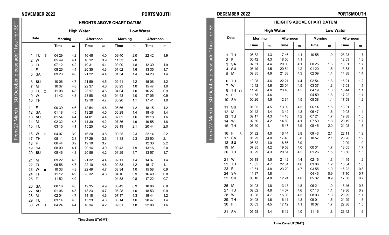## **NOVEMBER 2022 PORTSMOUTH**

**Date**

## **DECEMBER 2022 PORTSMOUTH**

|                                        |         | <b>HEIGHTS ABOVE CHART DATUM</b> |           |     |         |     |                  |     |  |  |  |
|----------------------------------------|---------|----------------------------------|-----------|-----|---------|-----|------------------|-----|--|--|--|
|                                        |         | <b>High Water</b>                |           |     |         |     | <b>Low Water</b> |     |  |  |  |
| Date                                   | Morning |                                  | Afternoon |     | Morning |     | Afternoon        |     |  |  |  |
|                                        | Time    | m                                | Time      | m   | Time    | m   | Time             | m   |  |  |  |
| <b>TH</b><br>1                         | 05 32   | 4.3                              | 1746      | 4.1 | 10 55   | 1.9 | 23 23            | 1.7 |  |  |  |
| $\overline{2}$<br>F                    | 06 42   | 4.3                              | 18 56     | 4.1 |         |     | 1203             | 1.8 |  |  |  |
| 3<br><b>SA</b>                         | 07 51   | 4.4                              | 20 00     | 4.1 | 00 25   | 1.6 | 1301             | 1.7 |  |  |  |
| SU<br>4                                | 08 49   | 4.5                              | 20 54     | 4.2 | 01 20   | 1.5 | 1353             | 1.5 |  |  |  |
| M<br>5                                 | 09 35   | 4.6                              | 21 38     | 4.3 | 02 09   | 1.4 | 14 38            | 1.4 |  |  |  |
| TU<br>6                                | 10 08   | 4.6                              | 22 21     | 4.4 | 02 54   | 1.3 | 15 21            | 1.2 |  |  |  |
| $\overline{7}$<br>W                    | 10 42   | 4.6                              | 23 04     | 4.5 | 03 37   | 1.3 | 16 03            | 1.1 |  |  |  |
| 8<br>TH $\circ$                        | 11 20   | 4.6                              | 23 46     | 4.5 | 04 19   | 1.3 | 16 44            | 1.1 |  |  |  |
| F<br>9                                 | 11 58   | 4.6                              |           |     | 04 59   | 1.3 | 17 22            | 1.1 |  |  |  |
| <b>SA</b><br>10                        | 00 26   | 4.5                              | 12 34     | 4.5 | 05 38   | 1.4 | 1758             | 1.2 |  |  |  |
| SU<br>11                               | 01 05   | 4.5                              | 13 09     | 4.5 | 06 14   | 1.5 | 18 31            | 1.3 |  |  |  |
| 12<br>M                                | 01 42   | 4.4                              | 1342      | 4.3 | 06 47   | 1.6 | 1903             | 1.4 |  |  |  |
| TU<br>13                               | 02 17   | 4.3                              | 14 18     | 4.2 | 07 21   | 1.7 | 19 38            | 1.5 |  |  |  |
| 14<br>W                                | 02 56   | 4.2                              | 14 59     | 4.1 | 07 59   | 1.8 | 20 19            | 1.7 |  |  |  |
| 15<br><b>TH</b>                        | 03 40   | 4.1                              | 1547      | 3.9 | 08 45   | 2.0 | 21 08            | 1.8 |  |  |  |
| 16<br>F<br>$\mathcal{L}_{\mathcal{A}}$ | 04 32   | 4.0                              | 16 44     | 3.8 | 09 43   | 2.1 | 22 11            | 1.9 |  |  |  |
| 17<br><b>SA</b>                        | 05 29   | 4.0                              | 1748      | 3.8 | 10 57   | 2.1 | 23 26            | 1.9 |  |  |  |
| SU<br>18                               | 06 32   | 4.0                              | 18 56     | 3.9 |         |     | 12 09            | 1.9 |  |  |  |
| M<br>19                                | 07 35   | 4.2                              | 1958      | 4.0 | 00 31   | 1.7 | 1305             | 1.7 |  |  |  |
| TU<br>20                               | 08 29   | 4.3                              | 20 51     | 4.2 | 01 26   | 1.5 | 1356             | 1.5 |  |  |  |
| 21<br>W                                | 09 18   | 4.5                              | 21 42     | 4.4 | 02 16   | 1.3 | 14 45            | 1.2 |  |  |  |
| <b>TH</b><br>22                        | 10 05   | 4.7                              | 22 31     | 4.6 | 03 06   | 1.2 | 15 34            | 1.0 |  |  |  |
| F<br>23                                | 10 51   | 4.8                              | 23 20     | 4.7 | 03 55   | 1.0 | 16 22            | 0.8 |  |  |  |
| <b>SA</b><br>24                        | 11 37   | 4.8                              |           |     | 04 43   | 0.9 | 17 10            | 0.7 |  |  |  |
| 25<br>SU                               | 00 10   | 4.8                              | 12 24     | 4.8 | 05 32   | 0.9 | 1758             | 0.7 |  |  |  |
| 26<br>M                                | 01 03   | 4.8                              | 13 13     | 4.8 | 06 21   | 1.0 | 1846             | 0.7 |  |  |  |
| 27<br>TU                               | 02 02   | 4.8                              | 14 07     | 4.6 | 07 10   | 1.1 | 19 36            | 0.9 |  |  |  |
| 28<br>W                                | 03 08   | 4.7                              | 15 08     | 4.5 | 08 03   | 1.3 | 20 29            | 1.1 |  |  |  |
| <b>TH</b><br>29                        | 04 08   | 4.6                              | 16 11     | 4.3 | 09 01   | 1.5 | 21 29            | 1.3 |  |  |  |
| F<br>30                                | 05 03   | 4.5                              | 17 12     | 4.1 | 10 07   | 1.7 | 22 36            | 1.5 |  |  |  |
| 31<br><b>SA</b>                        | 05 58   | 4.4                              | 18 12     | 4.0 | 11 16   | 1.8 | 2342             | 1.6 |  |  |  |

ir for BST From 27 March – 30 October, please add 1 hour for BST $\frac{1}{10}$ 30 Octo Erom 27 March

From 27 March – 30 October, please add 1 hour for BST  $\overline{5}$ hour Æ October, please add  $\overline{30}$ From 27 March

| 4              | -F              |           | 08 26 | 4.4 | 20 35 | 4.3 | 01 02 | 1.6 | 13 35 | 1.7 |
|----------------|-----------------|-----------|-------|-----|-------|-----|-------|-----|-------|-----|
|                | 5 SA            |           | 09 23 | 4.6 | 21 22 | 4.4 | 01 54 | 1.4 | 14 23 | 1.4 |
| 6              | SU              |           | 10 06 | 4.7 | 21 59 | 4.5 | 02 41 | 1.2 | 15 06 | 1.2 |
| $\overline{7}$ | м               |           | 10 37 | 4.8 | 22 37 | 4.6 | 03 23 | 1.0 | 1547  | 1.0 |
| 8              | TU <sub>0</sub> |           | 11 08 | 4.8 | 23 17 | 4.6 | 04 04 | 1.0 | 16 27 | 0.9 |
| 9              | W               |           | 1142  | 4.8 | 23 58 | 4.6 | 04 43 | 1.0 | 17 05 | 0.9 |
| 10             | TH              |           |       |     | 12 19 | 4.7 | 05 20 | 1.1 | 1741  | 1.0 |
| 11 F           |                 |           | 00 39 | 4.6 | 1254  | 4.6 | 05 56 | 1.2 | 18 15 | 1.2 |
|                | 12 SA           |           | 01 18 | 4.5 | 13 28 | 4.5 | 06 29 | 1.4 | 1846  | 1.4 |
| 13             | SU              |           | 01 54 | 4.4 | 14 01 | 4.4 | 07 02 | 1.6 | 19 18 | 1.6 |
| 14             | M               |           | 02 32 | 4.3 | 14 39 | 4.2 | 07 36 | 1.9 | 1955  | 1.8 |
| 15             | TU              |           | 03 15 | 4.1 | 15 25 | 4.0 | 08 19 | 2.1 | 20 44 | 2.0 |
| 16 W           |                 | €         | 04 07 | 3.9 | 16 20 | 3.8 | 09 25 | 2.3 | 22 14 | 2.2 |
| 17             | <b>TH</b>       |           | 05 11 | 3.8 | 17 29 | 3.6 | 11 33 | 2.3 | 23 50 | 2.1 |
| 18             | F               |           | 06 44 | 3.9 | 19 10 | 3.7 |       |     | 12 30 | 2.2 |
| 19             | <b>SA</b>       |           | 08 00 | 4.1 | 20 14 | 3.9 | 00 43 | 1.9 | 13 16 | 2.0 |
|                | 20 SU           |           | 08 46 | 4.3 | 20 56 | 4.2 | 01 29 | 1.7 | 13 57 | 1.7 |
| 21             | M               |           | 09 22 | 4.5 | 21 32 | 4.4 | 02 11 | 1.4 | 14 37 | 1.4 |
| 22             | TU              |           | 09 56 | 4.7 | 22 10 | 4.6 | 02 53 | 1.2 | 15 17 | 1.1 |
| 23             | W               | $\bullet$ | 10 33 | 4.8 | 22 49 | 4.7 | 03 34 | 1.0 | 15 58 | 0.9 |
| 24             | <b>TH</b>       |           | 11 12 | 4.9 | 23 32 | 4.8 | 04 16 | 0.9 | 16 40 | 0.8 |
| 25             | F               |           | 11 52 | 4.9 |       |     | 04 58 | 0.8 | 17 22 | 0.7 |
|                | 26 SA           |           | 00 16 | 4.8 | 12 35 | 4.9 | 0542  | 0.9 | 18 06 | 0.8 |
| 27             | SU              |           | 01 06 | 4.8 | 13 23 | 4.7 | 06 28 | 1.0 | 18 53 | 0.9 |
| 28             | M               |           | 02 04 | 4.7 | 14 18 | 4.6 | 07 17 | 1.3 | 19 44 | 1.2 |
| 29             | TU              |           | 03 14 | 4.5 | 15 23 | 4.3 | 08 14 | 1.6 | 2047  | 1.4 |
| 30             | W               | D         | 04 24 | 4.4 | 16 34 | 4.2 | 09 31 | 1.8 | 22 08 | 1.6 |
|                |                 |           |       |     |       |     |       |     |       |     |

W 05 49 4.1 18 12 3.9 11 33 2.0

TH 07 12 4.2 19 31 4.1 00 00 1.8 12 39 1.9

**HEIGHTS ABOVE CHART DATUM High Water Low Water Morning Afternoon Morning Afternoon Time m Time m Time m Time m** TU ☽ 04 29 4.2 16 48 4.0 09 40 2.0 22 42 1.9

**Time Zone UT(GMT)**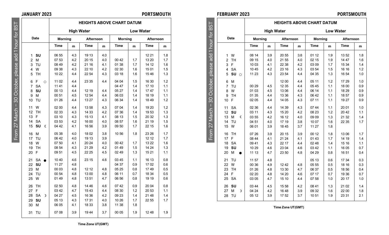## **JANUARY 2023 PORTSMOUTH**

## **FEBRUARY 2023 PORTSMOUTH**

| Date                                                                                                                                                                                                                                                                                       |                                                                                                                                              |                                                                                                              |                                                                                                                                                       |                                                                                                                     |                                                                                                                                                       |                                                                                                                     | Afternoon                                                                                                                                |                                                                                                              |  |
|--------------------------------------------------------------------------------------------------------------------------------------------------------------------------------------------------------------------------------------------------------------------------------------------|----------------------------------------------------------------------------------------------------------------------------------------------|--------------------------------------------------------------------------------------------------------------|-------------------------------------------------------------------------------------------------------------------------------------------------------|---------------------------------------------------------------------------------------------------------------------|-------------------------------------------------------------------------------------------------------------------------------------------------------|---------------------------------------------------------------------------------------------------------------------|------------------------------------------------------------------------------------------------------------------------------------------|--------------------------------------------------------------------------------------------------------------|--|
|                                                                                                                                                                                                                                                                                            | Time                                                                                                                                         | m                                                                                                            | Time                                                                                                                                                  | m                                                                                                                   | Time                                                                                                                                                  | m                                                                                                                   | Time                                                                                                                                     | m                                                                                                            |  |
| W<br>1<br>$\overline{2}$<br><b>TH</b><br>3<br>F<br><b>SA</b><br>$\overline{\mathbf{4}}$<br>5<br>SU<br>$\circ$<br>M<br>6<br>$\overline{7}$<br>TU<br>8<br>W<br><b>TH</b><br>9<br>F<br>10<br><b>SA</b><br>11<br>SU<br>12<br>13<br>M<br>C<br>TU<br>14<br>15<br>W<br><b>TH</b><br>16<br>F<br>17 | 08 14<br>09 15<br>10 03<br>10 45<br>11 23<br>00 29<br>01 03<br>01 35<br>02 05<br>02 36<br>03 11<br>03 55<br>04 51<br>06 01<br>07 26<br>08 44 | 3.9<br>4.0<br>4.1<br>4.2<br>4.3<br>4.5<br>4.5<br>4.4<br>4.4<br>4.4<br>4.3<br>4.2<br>4.0<br>3.9<br>3.9<br>4.1 | 20 55<br>21 55<br>22 38<br>23 16<br>23 54<br>12 00<br>12 35<br>13 06<br>13 36<br>14 05<br>14 39<br>15 20<br>16 12<br>17 19<br>18 45<br>20 15<br>21 24 | 3.8<br>4.0<br>4.2<br>4.3<br>4.4<br>4.4<br>4.4<br>4.4<br>4.3<br>4.3<br>4.3<br>4.2<br>4.0<br>3.8<br>3.7<br>3.9<br>4.1 | 01 12<br>02 15<br>03 09<br>03 54<br>04 35<br>05 11<br>05 45<br>06 14<br>06 42<br>07 11<br>07 44<br>08 23<br>09 09<br>10 07<br>11 27<br>00 12<br>01 43 | 1.9<br>1.9<br>1.7<br>1.5<br>1.3<br>1.2<br>1.1<br>1.1<br>1.1<br>1.1<br>1.1<br>1.2<br>1.3<br>1.6<br>1.8<br>1.8<br>1.7 | 1352<br>14 47<br>15 34<br>16 16<br>16 54<br>17 29<br>18 00<br>18 29<br>1857<br>19 27<br>20 01<br>2042<br>21 32<br>22 35<br>1306<br>14 19 | 1.8<br>1.6<br>1.4<br>1.2<br>1.0<br>1.0<br>0.9<br>0.9<br>0.9<br>0.9<br>1.0<br>1.1<br>1.4<br>1.7<br>1.7<br>1.4 |  |
| SU<br>19                                                                                                                                                                                                                                                                                   | 10 29                                                                                                                                        | 4.6                                                                                                          | 23 04                                                                                                                                                 | 4.6                                                                                                                 | 03 42                                                                                                                                                 | 1.1                                                                                                                 | 16 05                                                                                                                                    | 1.1<br>0.7                                                                                                   |  |
| 21<br>TU<br>22<br>W<br>23<br><b>TH</b><br>F<br>24<br><b>SA</b><br>25<br>SU<br>26<br>M<br>27<br>D<br>TU<br>28                                                                                                                                                                               | 11 57<br>00 36<br>01 26<br>02 20<br>03 05<br>03 44<br>04 24<br>05 12                                                                         | 4.8<br>4.9<br>4.8<br>4.8<br>4.7<br>4.5<br>4.2<br>3.9                                                         | 12 42<br>13 30<br>14 20<br>15 10<br>15 58<br>16 48<br>17 52                                                                                           | 4.8<br>4.7<br>4.6<br>4.4<br>4.2<br>3.9<br>3.7                                                                       | 05 13<br>05 55<br>06 37<br>07 17<br>07 58<br>08 41<br>09 32<br>10 51                                                                                  | 0.6<br>0.5<br>0.5<br>0.7<br>1.0<br>1.3<br>1.6<br>1.9                                                                | 17 34<br>18 16<br>1856<br>19 36<br>20 17<br>21 02<br>22 00<br>23 31                                                                      | 0.4<br>0.3<br>0.3<br>0.4<br>0.7<br>1.0<br>1.4<br>1.8<br>2.1                                                  |  |
|                                                                                                                                                                                                                                                                                            | 18<br><b>SA</b><br>M<br>20                                                                                                                   | 09 41<br>11 13                                                                                               | Morning<br>4.3<br>4.7                                                                                                                                 | <b>High Water</b><br>22 17<br>23 50                                                                                 | Afternoon<br>4.4<br>4.8                                                                                                                               | 02 48<br>04 29                                                                                                      | Morning<br>1.4<br>0.8                                                                                                                    | <b>HEIGHTS ABOVE CHART DATUM</b><br><b>Low Water</b><br>15 16<br>1651                                        |  |

**Time Zone UT(GMT)**

|                         |                 |         |     |                   |              | <b>HEIGHTS ABOVE CHART DATUM</b> |     |                  |     |
|-------------------------|-----------------|---------|-----|-------------------|--------------|----------------------------------|-----|------------------|-----|
|                         |                 |         |     | <b>High Water</b> |              |                                  |     | <b>Low Water</b> |     |
|                         | Date            | Morning |     | Afternoon         |              | Morning                          |     | Afternoon        |     |
|                         |                 | Time    | m   | Time              | $\mathsf{m}$ | Time                             | m   | Time             | m   |
| 1                       | SU              | 06 55   | 4.3 | 19 13             | 4.0          |                                  |     | 12 21            | 1.8 |
| $\overline{2}$          | M               | 07 53   | 4.2 | 20 15             | 4.0          | 00 42                            | 1.7 | 13 20            | 1.7 |
| 3                       | TU              | 08 49   | 4.2 | 21 16             | 4.1          | 01 38                            | 1.7 | 14 12            | 1.6 |
| $\overline{\mathbf{4}}$ | w               | 09 38   | 4.3 | 22 10             | 4.2          | 02 30                            | 1.6 | 15 01            | 1.5 |
| 5                       | TH              | 10 22   | 4.4 | 22 54             | 4.3          | 03 18                            | 1.6 | 1546             | 1.3 |
| 6                       | F<br>Ō          | 11 02   | 4.4 | 23 35             | 4.4          | 04 04                            | 1.5 | 16 30            | 1.2 |
| $\overline{7}$          | <b>SA</b>       | 1141    | 4.4 |                   |              | 04 47                            | 1.4 | 17 10            | 1.1 |
| 8                       | SU              | 00 13   | 4.4 | 12 19             | 4.4          | 05 27                            | 1.4 | 1747             | 1.1 |
| 9                       | M               | 00 51   | 4.5 | 12 54             | 4.4          | 06 03                            | 1.4 | 18 19            | 1.1 |
| 10                      | TU              | 01 26   | 4.4 | 13 27             | 4.3          | 06 34                            | 1.4 | 18 49            | 1.2 |
| 11                      | w               | 02 00   | 4.4 | 13 58             | 4.3          | 07 04                            | 1.4 | 19 20            | 1.2 |
| 12                      | <b>TH</b>       | 02 33   | 4.3 | 14 33             | 4.2          | 07 36                            | 1.4 | 19 53            | 1.3 |
| 13                      | F               | 03 10   | 4.3 | 15 13             | 4.1          | 08 13                            | 1.5 | 20 32            | 1.3 |
| 14                      | <b>SA</b>       | 03 53   | 4.2 | 16 00             | 4.0          | 08 57                            | 1.6 | 21 19            | 1.5 |
| 15                      | SU<br>C         | 04 42   | 4.1 | 16 56             | 3.9          | 09 50                            | 1.7 | 22 15            | 1.6 |
| 16                      | M               | 05 38   | 4.0 | 1802              | 3.8          | 10 56                            | 1.8 | 23 26            | 1.7 |
| 17                      | TU              | 06 42   | 4.0 | 19 13             | 3.9          |                                  |     | 12 12            | 1.7 |
| 18                      | W               | 07 50   | 4.1 | 20 24             | 4.0          | 00 42                            | 1.7 | 13 22            | 1.6 |
| 19                      | TH              | 08 54   | 4.3 | 21 29             | 4.2          | 0149                             | 1.5 | 14 24            | 1.3 |
| 20                      | F               | 09 51   | 4.5 | 22 25             | 4.5          | 02 49                            | 1.3 | 15 21            | 1.1 |
| 21                      | SA<br>$\bullet$ | 1040    | 4.6 | 23 15             | 4.6          | 03 45                            | 1.1 | 16 13            | 0.8 |
| 22                      | SU              | 11 27   | 4.8 |                   |              | 04 37                            | 0.9 | 17 02            | 0.6 |
| 23                      | M               | 00 03   | 4.8 | 12 12             | 4.8          | 05 25                            | 0.8 | 1749             | 0.5 |
| 24                      | TU              | 00 54   | 4.8 | 13 00             | 4.8          | 06 11                            | 0.7 | 18 34            | 0.5 |
| 25                      | W               | 0149    | 4.8 | 1351              | 4.7          | 06 56                            | 0.8 | 19 19            | 0.6 |
| 26                      | <b>TH</b>       | 02 50   | 4.8 | 14 46             | 4.6          | 0742                             | 0.9 | 20 04            | 0.8 |
| 27                      | F               | 03 42   | 4.7 | 1543              | 4.4          | 08 30                            | 1.2 | 20 53            | 1.1 |
| 28                      | <b>SA</b><br>D  | 04 27   | 4.5 | 16 36             | 4.2          | 09 23                            | 1.4 | 21 48            | 1.4 |
| 29                      | SU              | 05 13   | 4.3 | 1731              | 4.0          | 10 26                            | 1.7 | 22 55            | 1.7 |
| 30                      | M               | 06 05   | 4.1 | 18 33             | 3.8          | 11 38                            | 1.8 |                  |     |
| 31                      | TU              | 07 08   | 3.9 | 1944              | 3.7          | 00 05                            | 1.9 | 12 48            | 1.9 |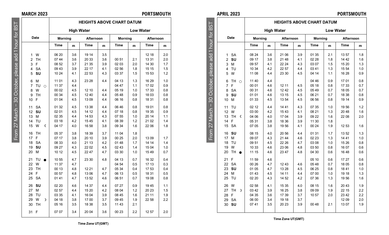**Date**

## **MARCH 2023 PORTSMOUTH**

**HEIGHTS ABOVE CHART DATUM High Water Low Water Morning Afternoon Morning Afternoon Time m Time m Time m Time m**

1 W | 0620 | 3.6 | 1914 | 3.5 | | | | | 12.18 | 2.0 2 TH | 07 44 | 3.6 | 20 33 | 3.6 | 00 51 | 2.1 | 13 31 | 2.0 3 F 08 52 3.7 21 35 3.9 02 03 2.0 14 30 1.7 4 SA | 0943 | 3.9 | 22.17 | 4.1 | 02.56 | 1.8 | 15.15 | 1.5 5 **SU** 10 24 4.1 22 53 4.3 03 37 1.5 15 53 1.2 6 M 11 01 4.3 23 28 4.4 04 13 1.3 16 29 1.0 7 TU  $\circ$  | 11 37 | 4.4 | | | | 04 47 | 1.1 | 17 02 | 0.9 8 W 00 02 4.5 12 10 4.4 05 19 1.0 17 33 0.8 9 TH 00 34 4.5 12 40 4.4 05 48 0.9 18 03 0.8 10 F | 01 04 | 4.5 | 13 09 | 4.4 | 06 16 | 0.8 | 18 31 | 0.8 11 SA | 01 32 | 4.5 | 13 38 | 4.4 | 06 46 | 0.8 | 19 01 | 0.8 12 **SU** | 02 01 | 4.5 | 14 12 | 4.4 | 07 18 | 0.8 | 19 35 | 0.9 13 M  $\begin{array}{|c|c|c|c|c|c|c|c|c|} \hline \end{array}$  02 35 | 4.4 | 14 53 | 4.3 | 07 55 | 1.0 | 20 14 | 1.1 14 TU | 0318 | 4.2 | 1545 | 4.1 | 08 39 | 1.2 | 21 02 | 1.4 15 W C 04 17 4.0 16 58 3.8 09 34 1.6 22 06 1.8

# **APRIL 2023 PORTSMOUTH**

|                      |                | <b>HEIGHTS ABOVE CHART DATUM</b> |       |           |                  |         |       |           |  |  |
|----------------------|----------------|----------------------------------|-------|-----------|------------------|---------|-------|-----------|--|--|
|                      |                | <b>High Water</b>                |       |           | <b>Low Water</b> |         |       |           |  |  |
| Date                 | <b>Morning</b> |                                  |       | Afternoon |                  | Morning |       | Afternoon |  |  |
|                      | Time           | $\mathbf{m}$                     | Time  | m         | Time             | m       | Time  | m         |  |  |
| <b>SA</b><br>1       | 08 24          | 3.6                              | 21 06 | 3.9       | 01 35            | 2.1     | 1357  | 1.8       |  |  |
| $\overline{2}$<br>SU | 09 17          | 3.8                              | 21 48 | 4.1       | 02 28            | 1.8     | 14 42 | 1.6       |  |  |
| M<br>3               | 09 57          | 4.1                              | 22 24 | 4.3       | 03 07            | 1.5     | 15 20 | 1.3       |  |  |
| 4<br>TU              | 10 34          | 4.2                              | 22 57 | 4.4       | 03 41            | 1.3     | 15 54 | 1.0       |  |  |
| 5<br>w               | 11 08          | 4.4                              | 23 30 | 4.5       | 04 14            | 1.1     | 16 28 | 0.9       |  |  |
| TH $\circ$<br>6      | 11 40          | 4.4                              |       |           | 04 46            | 0.9     | 1701  | 0.8       |  |  |
| $\overline{7}$<br>F  | 00 01          | 4.6                              | 12 11 | 4.5       | 05 18            | 0.8     | 1733  | 0.7       |  |  |
| <b>SA</b><br>8       | 00 31          | 4.6                              | 12 42 | 4.5       | 05 49            | 0.7     | 18 05 | 0.7       |  |  |
| SU<br>9              | 01 01          | 4.6                              | 13 15 | 4.5       | 06 21            | 0.7     | 18 38 | 0.8       |  |  |
| M<br>10              | 01 33          | 4.5                              | 13 54 | 4.5       | 06 56            | 0.8     | 19 14 | 0.9       |  |  |
| 11<br>TU             | 02 12          | 4.4                              | 14 41 | 4.3       | 07 35            | 1.0     | 1956  | 1.2       |  |  |
| 12<br>W              | 03 00          | 4.2                              | 15 43 | 4.1       | 08 21            | 1.3     | 2048  | 1.6       |  |  |
| <b>TH</b><br>13<br>C | 04 06          | 4.0                              | 17 04 | 3.9       | 09 22            | 1.6     | 22 08 | 2.0       |  |  |
| F<br>14              | 05 31          | 3.8                              | 18 36 | 3.9       | 11 30            | 1.8     |       |           |  |  |
| <b>SA</b><br>15      | 07 05          | 3.8                              | 1956  | 4.1       | 00 24            | 1.9     | 12 53 | 1.6       |  |  |
| 16 SU                | 08 15          | 4.0                              | 20 56 | 4.4       | 01 31            | 1.7     | 1352  | 1.3       |  |  |
| M<br>17              | 09 07          | 4.3                              | 21 44 | 4.6       | 02 23            | 1.3     | 1441  | 1.0       |  |  |
| TU<br>18             | 09 51          | 4.5                              | 22 26 | 4.7       | 03 08            | 1.0     | 15 26 | 0.8       |  |  |
| W<br>19              | 10 33          | 4.6                              | 23 06 | 4.8       | 03 50            | 0.8     | 16 07 | 0.6       |  |  |
| <b>TH</b><br>20      | 11 15          | 4.6                              | 23 47 | 4.8       | 04 30            | 0.6     | 1648  | 0.6       |  |  |
| F<br>21              | 11 59          | 4.6                              |       |           | 05 10            | 0.6     | 17 27 | 0.6       |  |  |
| 22<br><b>SA</b>      | 00 26          | 4.7                              | 12 43 | 4.6       | 05 48            | 0.7     | 18 05 | 0.8       |  |  |
| SU<br>23             | 01 05          | 4.7                              | 13 28 | 4.5       | 06 25            | 0.8     | 1841  | 1.0       |  |  |
| M<br>24              | 01 43          | 4.5                              | 14 11 | 4.4       | 07 00            | 1.0     | 19 18 | 1.3       |  |  |
| TU<br>25             | 02 20          | 4.3                              | 14 52 | 4.2       | 07 36            | 1.3     | 1956  | 1.6       |  |  |
| 26<br>W              | 02 58          | 4.1                              | 15 35 | 4.0       | 08 15            | 1.6     | 2043  | 1.9       |  |  |
| <b>TH</b><br>27<br>D | 03 42          | 3.9                              | 16 25 | 3.8       | 09 09            | 1.9     | 22 15 | 2.2       |  |  |
| F<br>28              | 04 35          | 3.6                              | 17 39 | 3.7       | 10 57            | 2.0     | 2342  | 2.2       |  |  |
| 29<br><b>SA</b>      | 06 00          | 3.4                              | 19 18 | 3.7       |                  |         | 12 09 | 2.0       |  |  |
| SU<br>30             | 07 41          | 3.5                              | 20 23 | 3.9       | 00.48            | 2.1     | 1307  | 1.9       |  |  |
|                      |                |                                  |       |           |                  |         |       |           |  |  |

From 27 March – 30 October, please add 1 hour for BSTadd 1 hour for BST 30 October From 27 March

31 F | 0707 | 3.4 | 2004 | 3.6 | 0023 | 2.2 | 12:57 | 2.0 **Time Zone UT(GMT)**

16 TH 05 37 3.8 18 39 3.7 11 04 1.8

30 TH 05 16 3.5 18 38 3.5 11 43 2.1

17 F 07 17 3.8 20 10 3.9 00 25 2.0 13 09 1.7 18 SA  $\begin{array}{|c|c|c|c|c|c|c|c|c|} \hline \end{array}$  08 33 4.0 21 13 4.2 01 48 1.7 1.7 14 14 14 19 **SU** | 09 27 | 4.3 | 22 02 | 4.5 | 02 43 | 1.4 | 15 04 | 1.0 20 M 10 12 4.5 22 47 4.7 03 30 1.0 15 49 0.7 21 TU ● | 10 55 | 4.7 | 23 30 | 4.8 | 04 13 | 0.7 | 16 32 | 0.4 22 W | 11 37 | 4.7 | | | | | | 04 54 | 0.5 | 17 13 | 0.3 23 TH 00 13 4.8 12 21 4.7 05 34 0.4 17 53 0.4 24 F | 0057 | 4.8 | 13.06 | 4.7 | 06.13 | 0.5 | 18.31 | 0.5 25 SA | 01 41 | 4.7 | 13 52 | 4.6 | 06 51 | 0.7 | 19 08 | 0.8 26 **SU** 02 20 4.6 14 37 4.4 07 27 0.9 19 45 1.1 27 M | 02 57 | 4.4 | 15 20 | 4.2 | 08 04 | 1.2 | 20 23 | 1.5 28 TU | 03 35 | 4.1 | 16 04 | 3.9 | 08 45 | 1.6 | 21 11 | 1.9 29 W ☽ 04 18 3.8 17 00 3.7 09 45 1.9 22 58 2.2

**Time Zone UT(GMT)**

From 27 March – 30 October, please add 1 hour for BST  $55$  $\overline{6}$ Port 군  $\overline{\sigma}$ **gg** ᄒ ä ctot <sub>20</sub> 27 March From 2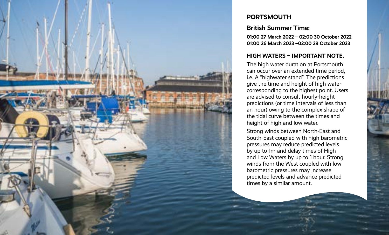

## **PORTSMOUTH**

## **British Summer Time:**

**01:00 27 March 2022 – 02:00 30 October 2022 01:00 26 March 2023 –02:00 29 October 2023**

## **HIGH WATERS – IMPORTANT NOTE.**

The high water duration at Portsmouth can occur over an extended time period, i.e. A "highwater stand". The predictions give the time and height of high water corresponding to the highest point. Users are advised to consult hourly-height predictions (or time intervals of less than an hour) owing to the complex shape of the tidal curve between the times and height of high and low water.

Strong winds between North-East and South-East coupled with high barometric pressures may reduce predicted levels by up to 1m and delay times of High and Low Waters by up to 1 hour. Strong winds from the West coupled with low barometric pressures may increase predicted levels and advance predicted times by a similar amount.